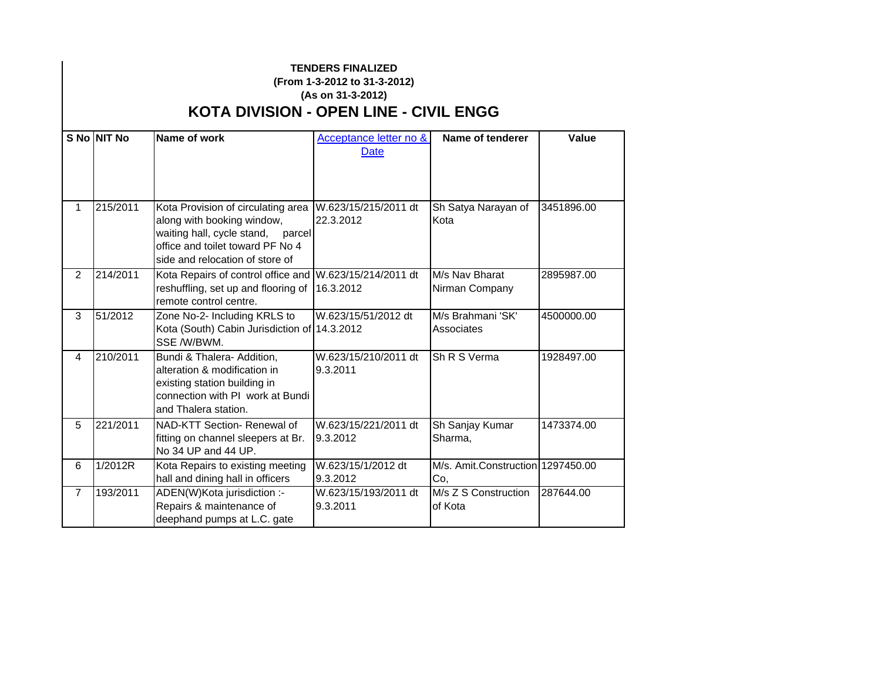## **TENDERS FINALIZED (From 1-3-2012 to 31-3-2012) (As on 31-3-2012) KOTA DIVISION - OPEN LINE - CIVIL ENGG**

|                | <b>S No NIT No</b> | Name of work                                                                                                                                                                 | Acceptance letter no &<br>Date    | Name of tenderer                         | <b>Value</b> |
|----------------|--------------------|------------------------------------------------------------------------------------------------------------------------------------------------------------------------------|-----------------------------------|------------------------------------------|--------------|
| 1              | 215/2011           | Kota Provision of circulating area<br>along with booking window,<br>waiting hall, cycle stand, parcel<br>office and toilet toward PF No 4<br>side and relocation of store of | W.623/15/215/2011 dt<br>22.3.2012 | Sh Satya Narayan of<br>Kota              | 3451896.00   |
| $\overline{2}$ | 214/2011           | Kota Repairs of control office and W.623/15/214/2011 dt<br>reshuffling, set up and flooring of<br>remote control centre.                                                     | 16.3.2012                         | M/s Nav Bharat<br>Nirman Company         | 2895987.00   |
| 3              | 51/2012            | Zone No-2- Including KRLS to<br>Kota (South) Cabin Jurisdiction of 14.3.2012<br>SSE /W/BWM.                                                                                  | W.623/15/51/2012 dt               | M/s Brahmani 'SK'<br>Associates          | 4500000.00   |
| 4              | 210/2011           | Bundi & Thalera- Addition,<br>alteration & modification in<br>existing station building in<br>connection with PI work at Bundi<br>and Thalera station.                       | W.623/15/210/2011 dt<br>9.3.2011  | Sh R S Verma                             | 1928497.00   |
| 5              | 221/2011           | NAD-KTT Section- Renewal of<br>fitting on channel sleepers at Br.<br>No 34 UP and 44 UP.                                                                                     | W.623/15/221/2011 dt<br>9.3.2012  | Sh Sanjay Kumar<br>Sharma,               | 1473374.00   |
| 6              | 1/2012R            | Kota Repairs to existing meeting<br>hall and dining hall in officers                                                                                                         | W.623/15/1/2012 dt<br>9.3.2012    | M/s. Amit.Construction 1297450.00<br>Co, |              |
| $\overline{7}$ | 193/2011           | ADEN(W)Kota jurisdiction :-<br>Repairs & maintenance of<br>deephand pumps at L.C. gate                                                                                       | W.623/15/193/2011 dt<br>9.3.2011  | M/s Z S Construction<br>of Kota          | 287644.00    |